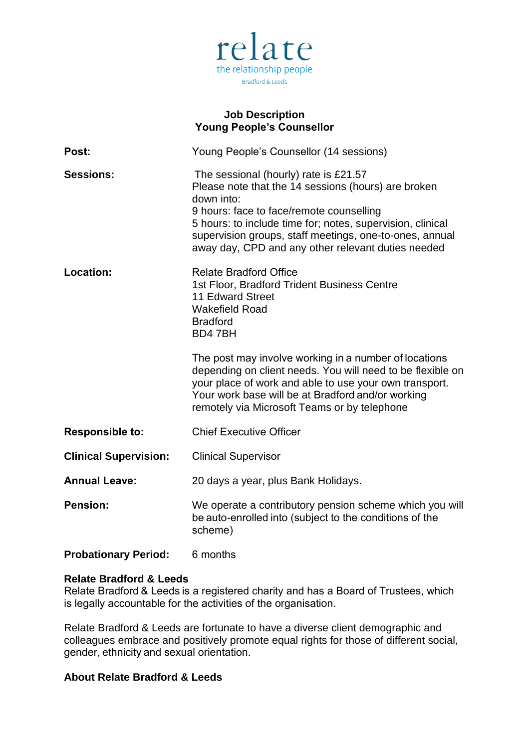

# **Job Description Young People's Counsellor**

| Post:                        | Young People's Counsellor (14 sessions)                                                                                                                                                                                                                                                                                               |
|------------------------------|---------------------------------------------------------------------------------------------------------------------------------------------------------------------------------------------------------------------------------------------------------------------------------------------------------------------------------------|
| <b>Sessions:</b>             | The sessional (hourly) rate is £21.57<br>Please note that the 14 sessions (hours) are broken<br>down into:<br>9 hours: face to face/remote counselling<br>5 hours: to include time for; notes, supervision, clinical<br>supervision groups, staff meetings, one-to-ones, annual<br>away day, CPD and any other relevant duties needed |
| Location:                    | <b>Relate Bradford Office</b><br>1st Floor, Bradford Trident Business Centre<br><b>11 Edward Street</b><br><b>Wakefield Road</b><br><b>Bradford</b><br>BD47BH                                                                                                                                                                         |
|                              | The post may involve working in a number of locations<br>depending on client needs. You will need to be flexible on<br>your place of work and able to use your own transport.<br>Your work base will be at Bradford and/or working<br>remotely via Microsoft Teams or by telephone                                                    |
| <b>Responsible to:</b>       | <b>Chief Executive Officer</b>                                                                                                                                                                                                                                                                                                        |
| <b>Clinical Supervision:</b> | <b>Clinical Supervisor</b>                                                                                                                                                                                                                                                                                                            |
| <b>Annual Leave:</b>         | 20 days a year, plus Bank Holidays.                                                                                                                                                                                                                                                                                                   |
| <b>Pension:</b>              | We operate a contributory pension scheme which you will<br>be auto-enrolled into (subject to the conditions of the<br>scheme)                                                                                                                                                                                                         |
| <b>Probationary Period:</b>  | 6 months                                                                                                                                                                                                                                                                                                                              |

# **Relate Bradford & Leeds**

Relate Bradford & Leeds is a registered charity and has a Board of Trustees, which is legally accountable for the activities of the organisation.  

Relate Bradford & Leeds are fortunate to have a diverse client demographic and colleagues embrace and positively promote equal rights for those of different social, gender, ethnicity and sexual orientation. 

# **About Relate Bradford & Leeds**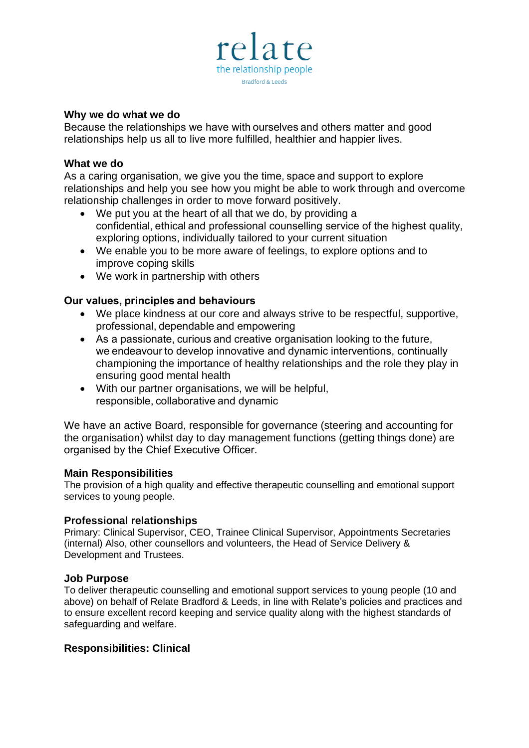

#### **Why we do what we do**

Because the relationships we have with ourselves and others matter and good relationships help us all to live more fulfilled, healthier and happier lives.

#### **What we do**

As a caring organisation, we give you the time, space and support to explore relationships and help you see how you might be able to work through and overcome relationship challenges in order to move forward positively.

- We put you at the heart of all that we do, by providing a confidential, ethical and professional counselling service of the highest quality, exploring options, individually tailored to your current situation
- We enable you to be more aware of feelings, to explore options and to improve coping skills
- We work in partnership with others

# **Our values, principles and behaviours**

- We place kindness at our core and always strive to be respectful, supportive, professional, dependable and empowering
- As a passionate, curious and creative organisation looking to the future, we endeavour to develop innovative and dynamic interventions, continually championing the importance of healthy relationships and the role they play in ensuring good mental health
- With our partner organisations, we will be helpful, responsible, collaborative and dynamic

We have an active Board, responsible for governance (steering and accounting for the organisation) whilst day to day management functions (getting things done) are organised by the Chief Executive Officer. 

# **Main Responsibilities**

The provision of a high quality and effective therapeutic counselling and emotional support services to young people.

# **Professional relationships**

Primary: Clinical Supervisor, CEO, Trainee Clinical Supervisor, Appointments Secretaries (internal) Also, other counsellors and volunteers, the Head of Service Delivery & Development and Trustees.

# **Job Purpose**

To deliver therapeutic counselling and emotional support services to young people (10 and above) on behalf of Relate Bradford & Leeds, in line with Relate's policies and practices and to ensure excellent record keeping and service quality along with the highest standards of safeguarding and welfare.

# **Responsibilities: Clinical**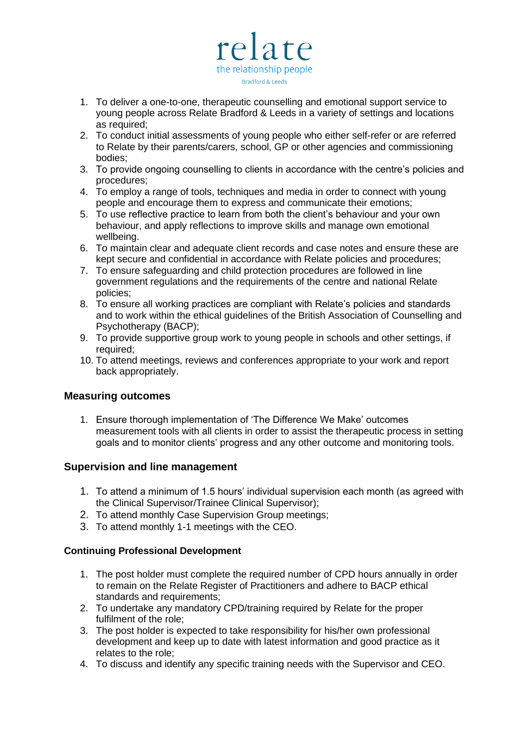

- 1. To deliver a one-to-one, therapeutic counselling and emotional support service to young people across Relate Bradford & Leeds in a variety of settings and locations as required;
- 2. To conduct initial assessments of young people who either self-refer or are referred to Relate by their parents/carers, school, GP or other agencies and commissioning bodies;
- 3. To provide ongoing counselling to clients in accordance with the centre's policies and procedures;
- 4. To employ a range of tools, techniques and media in order to connect with young people and encourage them to express and communicate their emotions;
- 5. To use reflective practice to learn from both the client's behaviour and your own behaviour, and apply reflections to improve skills and manage own emotional wellbeing.
- 6. To maintain clear and adequate client records and case notes and ensure these are kept secure and confidential in accordance with Relate policies and procedures;
- 7. To ensure safeguarding and child protection procedures are followed in line government regulations and the requirements of the centre and national Relate policies;
- 8. To ensure all working practices are compliant with Relate's policies and standards and to work within the ethical guidelines of the British Association of Counselling and Psychotherapy (BACP);
- 9. To provide supportive group work to young people in schools and other settings, if required;
- 10. To attend meetings, reviews and conferences appropriate to your work and report back appropriately.

# **Measuring outcomes**

1. Ensure thorough implementation of 'The Difference We Make' outcomes measurement tools with all clients in order to assist the therapeutic process in setting goals and to monitor clients' progress and any other outcome and monitoring tools.

# **Supervision and line management**

- 1. To attend a minimum of 1.5 hours' individual supervision each month (as agreed with the Clinical Supervisor/Trainee Clinical Supervisor);
- 2. To attend monthly Case Supervision Group meetings;
- 3. To attend monthly 1-1 meetings with the CEO.

#### **Continuing Professional Development**

- 1. The post holder must complete the required number of CPD hours annually in order to remain on the Relate Register of Practitioners and adhere to BACP ethical standards and requirements;
- 2. To undertake any mandatory CPD/training required by Relate for the proper fulfilment of the role;
- 3. The post holder is expected to take responsibility for his/her own professional development and keep up to date with latest information and good practice as it relates to the role;
- 4. To discuss and identify any specific training needs with the Supervisor and CEO.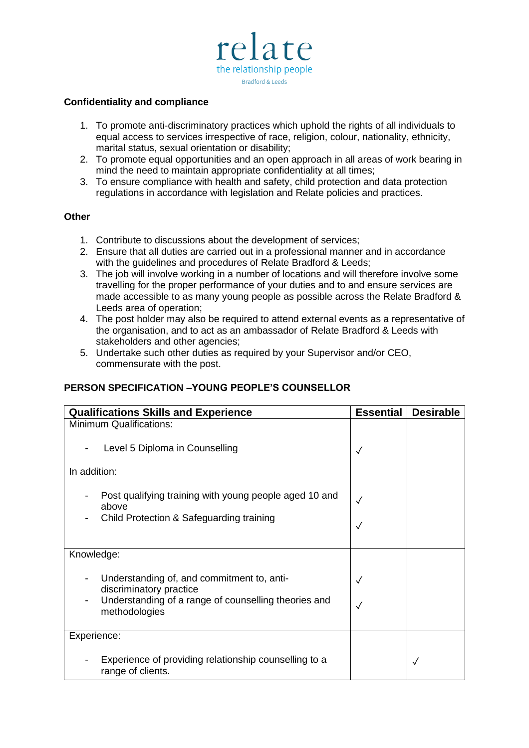

#### **Confidentiality and compliance**

- 1. To promote anti-discriminatory practices which uphold the rights of all individuals to equal access to services irrespective of race, religion, colour, nationality, ethnicity, marital status, sexual orientation or disability;
- 2. To promote equal opportunities and an open approach in all areas of work bearing in mind the need to maintain appropriate confidentiality at all times;
- 3. To ensure compliance with health and safety, child protection and data protection regulations in accordance with legislation and Relate policies and practices.

#### **Other**

- 1. Contribute to discussions about the development of services;
- 2. Ensure that all duties are carried out in a professional manner and in accordance with the guidelines and procedures of Relate Bradford & Leeds;
- 3. The job will involve working in a number of locations and will therefore involve some travelling for the proper performance of your duties and to and ensure services are made accessible to as many young people as possible across the Relate Bradford & Leeds area of operation;
- 4. The post holder may also be required to attend external events as a representative of the organisation, and to act as an ambassador of Relate Bradford & Leeds with stakeholders and other agencies;
- 5. Undertake such other duties as required by your Supervisor and/or CEO, commensurate with the post.

#### **PERSON SPECIFICATION –YOUNG PEOPLE'S COUNSELLOR**

| <b>Qualifications Skills and Experience</b>                                                                                                    | <b>Essential</b> | <b>Desirable</b> |
|------------------------------------------------------------------------------------------------------------------------------------------------|------------------|------------------|
| <b>Minimum Qualifications:</b>                                                                                                                 |                  |                  |
| Level 5 Diploma in Counselling                                                                                                                 | $\checkmark$     |                  |
| In addition:                                                                                                                                   |                  |                  |
| Post qualifying training with young people aged 10 and<br>above<br>Child Protection & Safeguarding training                                    | $\sqrt{}$        |                  |
| Knowledge:                                                                                                                                     |                  |                  |
| Understanding of, and commitment to, anti-<br>discriminatory practice<br>Understanding of a range of counselling theories and<br>methodologies | $\checkmark$     |                  |
| Experience:                                                                                                                                    |                  |                  |
| Experience of providing relationship counselling to a<br>range of clients.                                                                     |                  | $\checkmark$     |